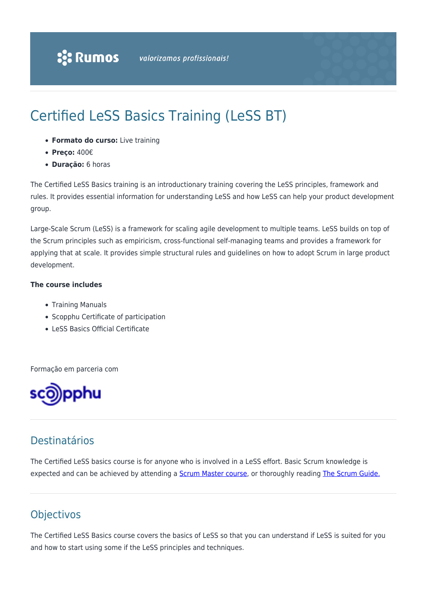# Certified LeSS Basics Training (LeSS BT)

- **Formato do curso:** Live training
- **Preço:** 400€
- **Duração:** 6 horas

The Certified LeSS Basics training is an introductionary training covering the LeSS principles, framework and rules. It provides essential information for understanding LeSS and how LeSS can help your product development group.

Large-Scale Scrum (LeSS) is a framework for scaling agile development to multiple teams. LeSS builds on top of the Scrum principles such as empiricism, cross-functional self-managing teams and provides a framework for applying that at scale. It provides simple structural rules and guidelines on how to adopt Scrum in large product development.

#### **The course includes**

- Training Manuals
- Scopphu Certificate of participation
- LeSS Basics Official Certificate

Formação em parceria com



### Destinatários

The Certified LeSS basics course is for anyone who is involved in a LeSS effort. Basic Scrum knowledge is expected and can be achieved by attending a **Scrum Master course**, or thoroughly reading **The Scrum Guide.** 

### **Objectivos**

The Certified LeSS Basics course covers the basics of LeSS so that you can understand if LeSS is suited for you and how to start using some if the LeSS principles and techniques.